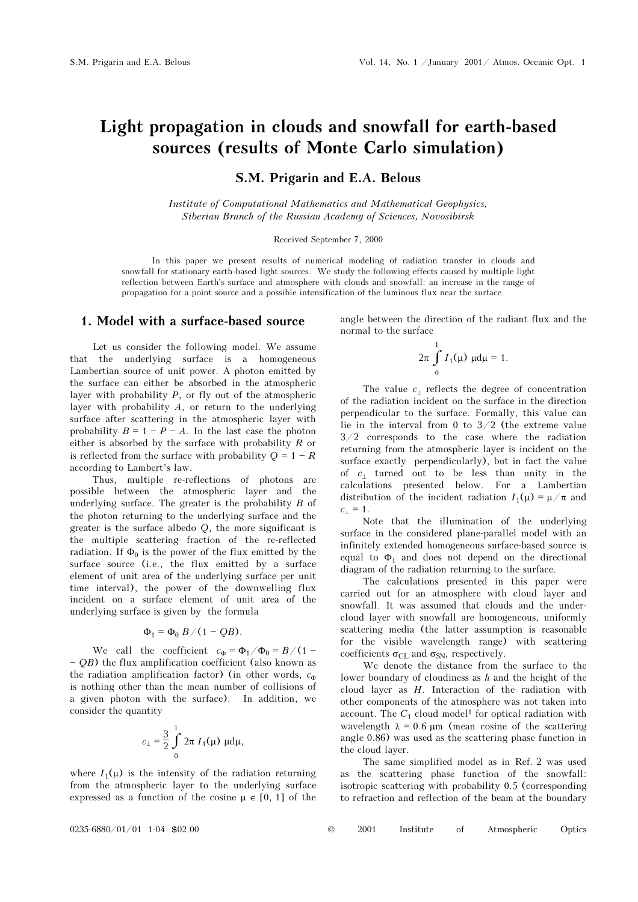# Light propagation in clouds and snowfall for earth-based sources (results of Monte Carlo simulation)

## S.M. Prigarin and E.A. Belous

Institute of Computational Mathematics and Mathematical Geophysics, Siberian Branch of the Russian Academy of Sciences, Novosibirsk

#### Received September 7, 2000

In this paper we present results of numerical modeling of radiation transfer in clouds and snowfall for stationary earth-based light sources. We study the following effects caused by multiple light reflection between Earth's surface and atmosphere with clouds and snowfall: an increase in the range of propagation for a point source and a possible intensification of the luminous flux near the surface.

### 1. Model with a surface-based source

Let us consider the following model. We assume that the underlying surface is a homogeneous Lambertian source of unit power. A photon emitted by the surface can either be absorbed in the atmospheric layer with probability  $P$ , or fly out of the atmospheric layer with probability  $A$ , or return to the underlying surface after scattering in the atmospheric layer with probability  $B = 1 - P - A$ . In the last case the photon either is absorbed by the surface with probability  $R$  or is reflected from the surface with probability  $Q = 1 - R$ according to Lambert's law.

Thus, multiple re-reflections of photons are possible between the atmospheric layer and the underlying surface. The greater is the probability  $B$  of the photon returning to the underlying surface and the greater is the surface albedo Q, the more significant is the multiple scattering fraction of the re-reflected radiation. If  $\Phi_0$  is the power of the flux emitted by the surface source (i.e., the flux emitted by a surface element of unit area of the underlying surface per unit time interval), the power of the downwelling flux incident on a surface element of unit area of the underlying surface is given by the formula

$$
\Phi_1 = \Phi_0 B/(1 - QB).
$$

We call the coefficient  $c_{\Phi} = \Phi_1/\Phi_0 = B/(1 -$  OB) the flux amplification coefficient (also known as the radiation amplification factor) (in other words,  $c_{\Phi}$ is nothing other than the mean number of collisions of a given photon with the surface). In addition, we consider the quantity

$$
c_{\perp} = \frac{3}{2} \int_{0}^{1} 2\pi I_1(\mu) \, \mu d\mu,
$$

where  $I_1(\mu)$  is the intensity of the radiation returning from the atmospheric layer to the underlying surface expressed as a function of the cosine  $\mu \in [0, 1]$  of the angle between the direction of the radiant flux and the normal to the surface

$$
2\pi \int_{0}^{1} I_{1}(\mu) \mu d\mu = 1.
$$

The value  $c_{\perp}$  reflects the degree of concentration of the radiation incident on the surface in the direction perpendicular to the surface. Formally, this value can lie in the interval from 0 to 3/2 (the extreme value 3/2 corresponds to the case where the radiation returning from the atmospheric layer is incident on the surface exactly perpendicularly), but in fact the value of  $c_1$  turned out to be less than unity in the calculations presented below. For a Lambertian distribution of the incident radiation  $I_1(\mu) = \mu/\pi$  and  $c_{\perp} = 1.$ 

Note that the illumination of the underlying surface in the considered plane-parallel model with an infinitely extended homogeneous surface-based source is equal to  $\Phi_1$  and does not depend on the directional diagram of the radiation returning to the surface.

The calculations presented in this paper were carried out for an atmosphere with cloud layer and snowfall. It was assumed that clouds and the undercloud layer with snowfall are homogeneous, uniformly scattering media (the latter assumption is reasonable for the visible wavelength range) with scattering coefficients  $\sigma_{\text{CI}}$  and  $\sigma_{\text{SN}}$ , respectively.

We denote the distance from the surface to the lower boundary of cloudiness as  $h$  and the height of the cloud layer as  $H$ . Interaction of the radiation with other components of the atmosphere was not taken into account. The  $C_1$  cloud model<sup>1</sup> for optical radiation with wavelength  $\lambda = 0.6 \mu m$  (mean cosine of the scattering angle 0.86) was used as the scattering phase function in the cloud layer.

The same simplified model as in Ref. 2 was used as the scattering phase function of the snowfall: isotropic scattering with probability 0.5 (corresponding to refraction and reflection of the beam at the boundary

| $0235 - 6880 / 01 / 01$ 1-04 \$02.00 |  | 2001 |  |  | Institute of Atmospheric Optics |  |
|--------------------------------------|--|------|--|--|---------------------------------|--|
|--------------------------------------|--|------|--|--|---------------------------------|--|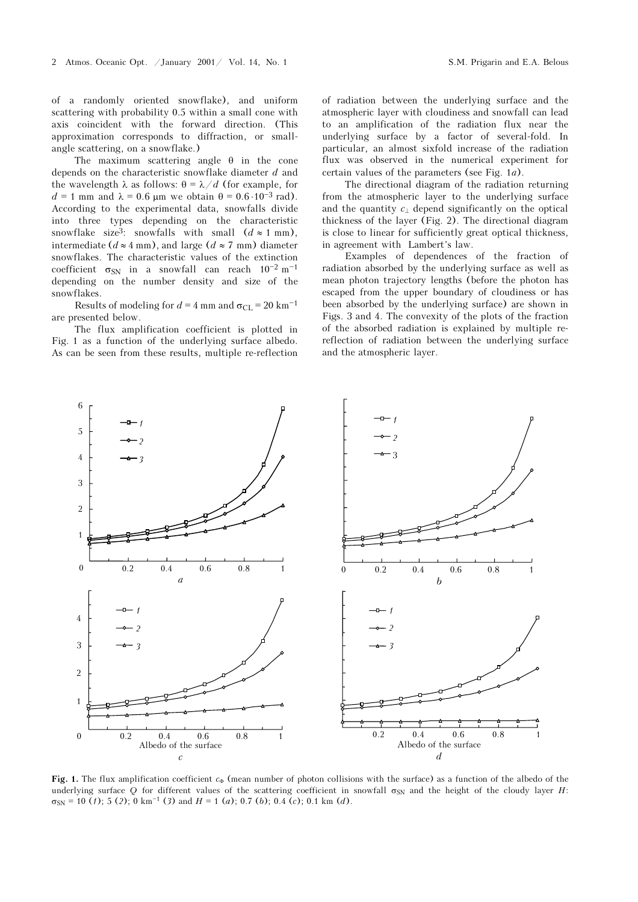of a randomly oriented snowflake), and uniform scattering with probability 0.5 within a small cone with axis coincident with the forward direction. (This approximation corresponds to diffraction, or smallangle scattering, on a snowflake.)

The maximum scattering angle θ in the cone depends on the characteristic snowflake diameter d and the wavelength  $\lambda$  as follows:  $\theta = \lambda / d$  (for example, for  $d = 1$  mm and  $\lambda = 0.6$  μm we obtain  $\theta = 0.6 \cdot 10^{-3}$  rad). According to the experimental data, snowfalls divide into three types depending on the characteristic snowflake size<sup>3</sup>: snowfalls with small  $(d \approx 1 \text{ mm})$ , intermediate ( $d \approx 4$  mm), and large ( $d \approx 7$  mm) diameter snowflakes. The characteristic values of the extinction coefficient  $\sigma_{SN}$  in a snowfall can reach  $10^{-2}$  m<sup>-1</sup> depending on the number density and size of the snowflakes.

Results of modeling for  $d = 4$  mm and  $\sigma_{\text{CL}} = 20 \text{ km}^{-1}$ are presented below.

The flux amplification coefficient is plotted in Fig. 1 as a function of the underlying surface albedo. As can be seen from these results, multiple re-reflection of radiation between the underlying surface and the atmospheric layer with cloudiness and snowfall can lead to an amplification of the radiation flux near the underlying surface by a factor of several-fold. In particular, an almost sixfold increase of the radiation flux was observed in the numerical experiment for certain values of the parameters (see Fig. 1a).

The directional diagram of the radiation returning from the atmospheric layer to the underlying surface and the quantity  $c_{\perp}$  depend significantly on the optical thickness of the layer (Fig. 2). The directional diagram is close to linear for sufficiently great optical thickness, in agreement with Lambert's law.

Examples of dependences of the fraction of radiation absorbed by the underlying surface as well as mean photon trajectory lengths (before the photon has escaped from the upper boundary of cloudiness or has been absorbed by the underlying surface) are shown in Figs. 3 and 4. The convexity of the plots of the fraction of the absorbed radiation is explained by multiple rereflection of radiation between the underlying surface and the atmospheric layer.



Fig. 1. The flux amplification coefficient  $c_{\Phi}$  (mean number of photon collisions with the surface) as a function of the albedo of the underlying surface Q for different values of the scattering coefficient in snowfall  $\sigma_{SN}$  and the height of the cloudy layer H:  $\sigma_{\text{SN}}$  = 10 (1); 5 (2); 0 km<sup>-1</sup> (3) and H = 1 (a); 0.7 (b); 0.4 (c); 0.1 km (d).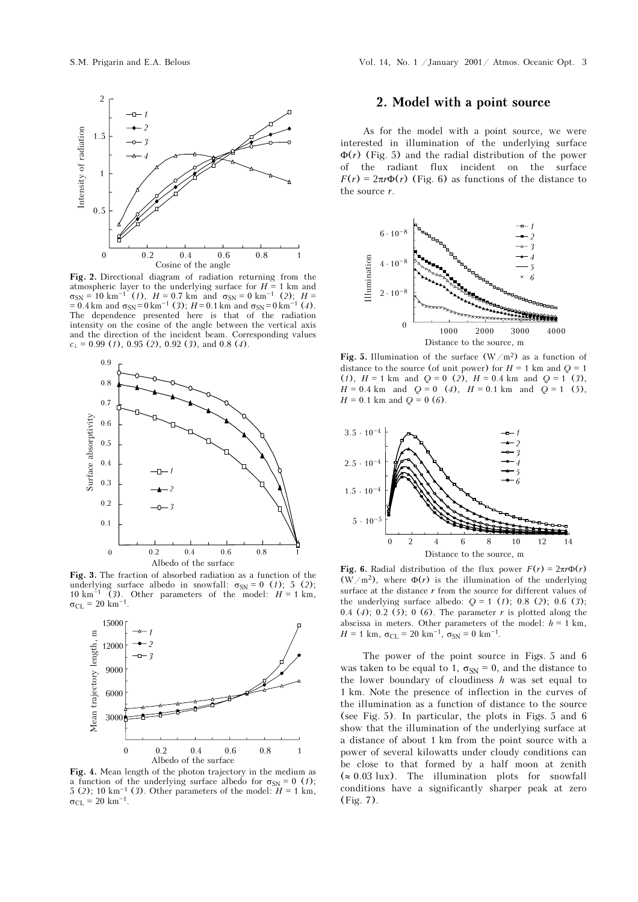

Fig. 2. Directional diagram of radiation returning from the atmospheric layer to the underlying surface for  $H = 1$  km and  $\sigma_{\text{SN}} = 10 \text{ km}^{-1} (1), H = 0.7 \text{ km} \text{ and } \sigma_{\text{SN}} = 0 \text{ km}^{-1} (2); H =$ = 0.4 km and  $\sigma_{SN} = 0$  km<sup>-1</sup> (3); H = 0.1 km and  $\sigma_{SN} = 0$  km<sup>-1</sup> (4). The dependence presented here is that of the radiation intensity on the cosine of the angle between the vertical axis and the direction of the incident beam. Corresponding values  $c_{\perp}$  = 0.99 (1), 0.95 (2), 0.92 (3), and 0.8 (4).



Fig. 3. The fraction of absorbed radiation as a function of the underlying surface albedo in snowfall:  $\sigma_{SN} = 0$  (1); 5 (2); 10 km<sup>-1</sup> (3). Other parameters of the model:  $H = 1$  km,  $\sigma_{CL} = 20 \text{ km}^{-1}$ .



Fig. 4. Mean length of the photon trajectory in the medium as a function of the underlying surface albedo for  $\sigma_{SN} = 0$  (1); 5 (2); 10 km<sup>-1</sup> (3). Other parameters of the model:  $H = 1$  km, σ<sub>CL</sub> = 20 km<sup>-1</sup>.

## 2. Model with a point source

As for the model with a point source, we were interested in illumination of the underlying surface  $\Phi(r)$  (Fig. 5) and the radial distribution of the power of the radiant flux incident on the surface  $F(r) = 2\pi r \Phi(r)$  (Fig. 6) as functions of the distance to the source  $r$ .



Fig. 5. Illumination of the surface  $(W/m^2)$  as a function of distance to the source (of unit power) for  $H = 1$  km and  $Q = 1$ (1),  $H = 1$  km and  $Q = 0$  (2),  $H = 0.4$  km and  $Q = 1$  (3),  $H = 0.4$  km and  $Q = 0$  (4),  $H = 0.1$  km and  $Q = 1$  (5),  $H = 0.1$  km and  $Q = 0$  (6).



Fig. 6. Radial distribution of the flux power  $F(r) = 2\pi r \Phi(r)$  $(\overline{W}/m^2)$ , where  $\Phi(r)$  is the illumination of the underlying surface at the distance  $r$  from the source for different values of the underlying surface albedo:  $Q = 1$  (1); 0.8 (2); 0.6 (3); 0.4 (4); 0.2 (5); 0 (6). The parameter  $r$  is plotted along the abscissa in meters. Other parameters of the model:  $h = 1$  km,  $H = 1$  km,  $\sigma_{\text{CL}} = 20$  km<sup>-1</sup>,  $\sigma_{\text{SN}} = 0$  km<sup>-1</sup>.

The power of the point source in Figs. 5 and 6 was taken to be equal to 1,  $\sigma_{\rm SN} = 0$ , and the distance to the lower boundary of cloudiness  $h$  was set equal to 1 km. Note the presence of inflection in the curves of the illumination as a function of distance to the source (see Fig. 5). In particular, the plots in Figs. 5 and 6 show that the illumination of the underlying surface at a distance of about 1 km from the point source with a power of several kilowatts under cloudy conditions can be close to that formed by a half moon at zenith (≈ 0.03 lux). The illumination plots for snowfall conditions have a significantly sharper peak at zero (Fig. 7).